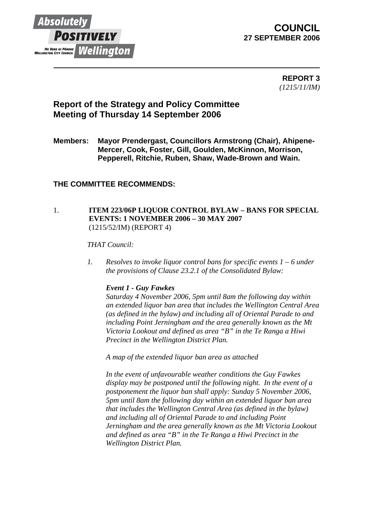

# **COUNCIL 27 SEPTEMBER 2006**

 **REPORT 3** *(1215/11/IM)* 

# **Report of the Strategy and Policy Committee Meeting of Thursday 14 September 2006**

**Members: Mayor Prendergast, Councillors Armstrong (Chair), Ahipene-Mercer, Cook, Foster, Gill, Goulden, McKinnon, Morrison, Pepperell, Ritchie, Ruben, Shaw, Wade-Brown and Wain.** 

## **THE COMMITTEE RECOMMENDS:**

## 1. **ITEM 223/06P LIQUOR CONTROL BYLAW – BANS FOR SPECIAL EVENTS: 1 NOVEMBER 2006 – 30 MAY 2007**  (1215/52/IM) (REPORT 4)

### *THAT Council:*

*1. Resolves to invoke liquor control bans for specific events 1 – 6 under the provisions of Clause 23.2.1 of the Consolidated Bylaw:* 

#### *Event 1 - Guy Fawkes*

*Saturday 4 November 2006, 5pm until 8am the following day within an extended liquor ban area that includes the Wellington Central Area (as defined in the bylaw) and including all of Oriental Parade to and including Point Jerningham and the area generally known as the Mt Victoria Lookout and defined as area "B" in the Te Ranga a Hiwi Precinct in the Wellington District Plan.* 

*A map of the extended liquor ban area as attached* 

*In the event of unfavourable weather conditions the Guy Fawkes display may be postponed until the following night. In the event of a postponement the liquor ban shall apply: Sunday 5 November 2006, 5pm until 8am the following day within an extended liquor ban area that includes the Wellington Central Area (as defined in the bylaw) and including all of Oriental Parade to and including Point Jerningham and the area generally known as the Mt Victoria Lookout and defined as area "B" in the Te Ranga a Hiwi Precinct in the Wellington District Plan.*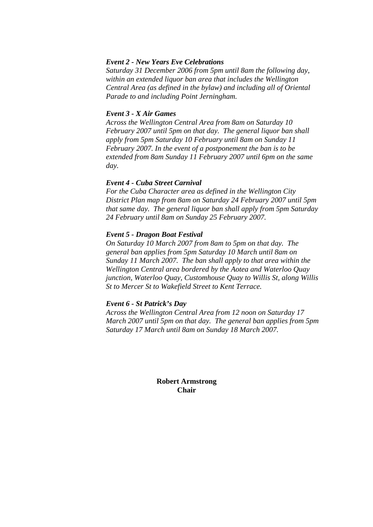#### *Event 2 - New Years Eve Celebrations*

*Saturday 31 December 2006 from 5pm until 8am the following day, within an extended liquor ban area that includes the Wellington Central Area (as defined in the bylaw) and including all of Oriental Parade to and including Point Jerningham.* 

#### *Event 3 - X Air Games*

*Across the Wellington Central Area from 8am on Saturday 10 February 2007 until 5pm on that day. The general liquor ban shall apply from 5pm Saturday 10 February until 8am on Sunday 11 February 2007. In the event of a postponement the ban is to be extended from 8am Sunday 11 February 2007 until 6pm on the same day.* 

#### *Event 4 - Cuba Street Carnival*

*For the Cuba Character area as defined in the Wellington City District Plan map from 8am on Saturday 24 February 2007 until 5pm that same day. The general liquor ban shall apply from 5pm Saturday 24 February until 8am on Sunday 25 February 2007.* 

#### *Event 5 - Dragon Boat Festival*

*On Saturday 10 March 2007 from 8am to 5pm on that day. The general ban applies from 5pm Saturday 10 March until 8am on Sunday 11 March 2007. The ban shall apply to that area within the Wellington Central area bordered by the Aotea and Waterloo Quay junction, Waterloo Quay, Customhouse Quay to Willis St, along Willis St to Mercer St to Wakefield Street to Kent Terrace.* 

#### *Event 6 - St Patrick's Day*

*Across the Wellington Central Area from 12 noon on Saturday 17 March 2007 until 5pm on that day. The general ban applies from 5pm Saturday 17 March until 8am on Sunday 18 March 2007.* 

> **Robert Armstrong Chair**